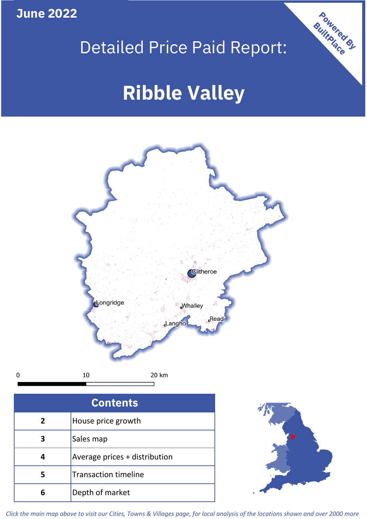**June 2022**

 $\mathbf 0$ 

## Detailed Price Paid Report:

# **Ribble Valley**



| <b>Contents</b> |                               |  |  |
|-----------------|-------------------------------|--|--|
| $\overline{2}$  | House price growth            |  |  |
| З               | Sales map                     |  |  |
|                 | Average prices + distribution |  |  |
| 5               | <b>Transaction timeline</b>   |  |  |
|                 | Depth of market               |  |  |



Powered By

*Click the main map above to visit our Cities, Towns & Villages page, for local analysis of the locations shown and over 2000 more*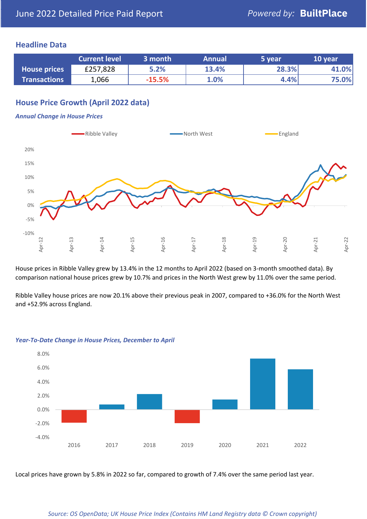#### **Headline Data**

|                     | <b>Current level</b> | 3 month  | <b>Annual</b> | '5 vear. | 10 year |
|---------------------|----------------------|----------|---------------|----------|---------|
| <b>House prices</b> | £257,828             | 5.2%     | 13.4%         | 28.3%    | 41.0%   |
| <b>Transactions</b> | 1,066                | $-15.5%$ | 1.0%          | 4.4%     | 75.0%   |

### **House Price Growth (April 2022 data)**

#### *Annual Change in House Prices*



House prices in Ribble Valley grew by 13.4% in the 12 months to April 2022 (based on 3-month smoothed data). By comparison national house prices grew by 10.7% and prices in the North West grew by 11.0% over the same period.

Ribble Valley house prices are now 20.1% above their previous peak in 2007, compared to +36.0% for the North West and +52.9% across England.



#### *Year-To-Date Change in House Prices, December to April*

Local prices have grown by 5.8% in 2022 so far, compared to growth of 7.4% over the same period last year.

#### *Source: OS OpenData; UK House Price Index (Contains HM Land Registry data © Crown copyright)*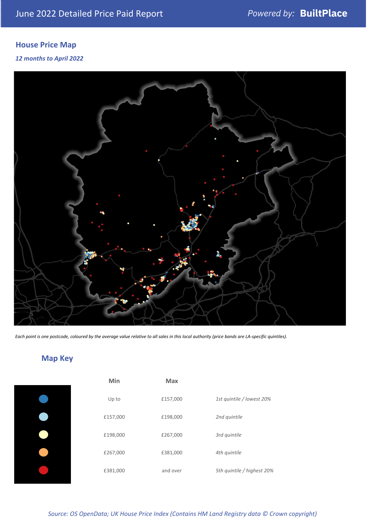### **House Price Map**

#### *12 months to April 2022*



*Each point is one postcode, coloured by the average value relative to all sales in this local authority (price bands are LA-specific quintiles).*

### **Map Key**

| Min      | <b>Max</b> |                            |
|----------|------------|----------------------------|
| Up to    | £157,000   | 1st quintile / lowest 20%  |
| £157,000 | £198,000   | 2nd quintile               |
| £198,000 | £267,000   | 3rd quintile               |
| £267,000 | £381,000   | 4th quintile               |
| £381,000 | and over   | 5th quintile / highest 20% |

#### *Source: OS OpenData; UK House Price Index (Contains HM Land Registry data © Crown copyright)*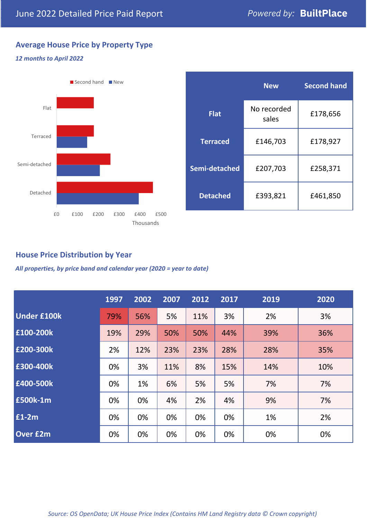### **Average House Price by Property Type**

#### *12 months to April 2022*



|                 | <b>New</b>           | <b>Second hand</b> |  |
|-----------------|----------------------|--------------------|--|
| <b>Flat</b>     | No recorded<br>sales | £178,656           |  |
| <b>Terraced</b> | £146,703             | £178,927           |  |
| Semi-detached   | £207,703             | £258,371           |  |
| <b>Detached</b> | £393,821             | £461,850           |  |

#### **House Price Distribution by Year**

*All properties, by price band and calendar year (2020 = year to date)*

|                    | 1997 | 2002 | 2007 | 2012 | 2017 | 2019 | 2020 |
|--------------------|------|------|------|------|------|------|------|
| <b>Under £100k</b> | 79%  | 56%  | 5%   | 11%  | 3%   | 2%   | 3%   |
| £100-200k          | 19%  | 29%  | 50%  | 50%  | 44%  | 39%  | 36%  |
| E200-300k          | 2%   | 12%  | 23%  | 23%  | 28%  | 28%  | 35%  |
| £300-400k          | 0%   | 3%   | 11%  | 8%   | 15%  | 14%  | 10%  |
| £400-500k          | 0%   | 1%   | 6%   | 5%   | 5%   | 7%   | 7%   |
| <b>£500k-1m</b>    | 0%   | 0%   | 4%   | 2%   | 4%   | 9%   | 7%   |
| £1-2m              | 0%   | 0%   | 0%   | 0%   | 0%   | 1%   | 2%   |
| <b>Over £2m</b>    | 0%   | 0%   | 0%   | 0%   | 0%   | 0%   | 0%   |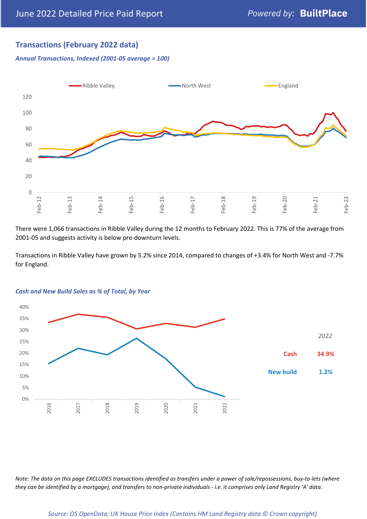#### **Transactions (February 2022 data)**

*Annual Transactions, Indexed (2001-05 average = 100)*



There were 1,066 transactions in Ribble Valley during the 12 months to February 2022. This is 77% of the average from 2001-05 and suggests activity is below pre-downturn levels.

Transactions in Ribble Valley have grown by 5.2% since 2014, compared to changes of +3.4% for North West and -7.7% for England.



#### *Cash and New Build Sales as % of Total, by Year*

*Note: The data on this page EXCLUDES transactions identified as transfers under a power of sale/repossessions, buy-to-lets (where they can be identified by a mortgage), and transfers to non-private individuals - i.e. it comprises only Land Registry 'A' data.*